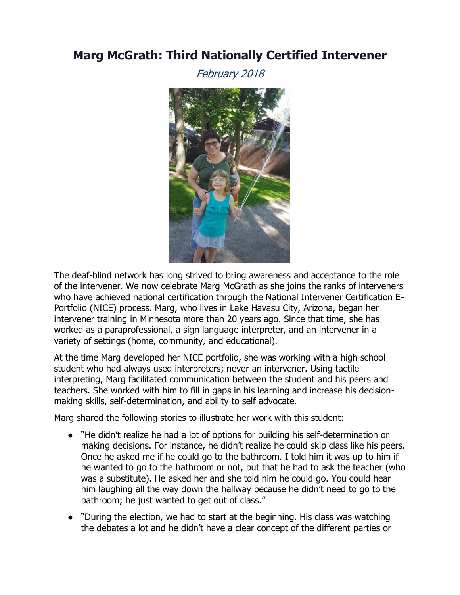## **Marg McGrath: Third Nationally Certified Intervener**

February 2018



The deaf-blind network has long strived to bring awareness and acceptance to the role of the intervener. We now celebrate Marg McGrath as she joins the ranks of interveners who have achieved national certification through the National Intervener Certification E-Portfolio (NICE) process. Marg, who lives in Lake Havasu City, Arizona, began her intervener training in Minnesota more than 20 years ago. Since that time, she has worked as a paraprofessional, a sign language interpreter, and an intervener in a variety of settings (home, community, and educational).

making skills, self-determination, and ability to self advocate. At the time Marg developed her NICE portfolio, she was working with a high school student who had always used interpreters; never an intervener. Using tactile interpreting, Marg facilitated communication between the student and his peers and teachers. She worked with him to fill in gaps in his learning and increase his decision-

Marg shared the following stories to illustrate her work with this student:

- "He didn't realize he had a lot of options for building his self-determination or making decisions. For instance, he didn't realize he could skip class like his peers. Once he asked me if he could go to the bathroom. I told him it was up to him if he wanted to go to the bathroom or not, but that he had to ask the teacher (who was a substitute). He asked her and she told him he could go. You could hear him laughing all the way down the hallway because he didn't need to go to the bathroom; he just wanted to get out of class."
- "During the election, we had to start at the beginning. His class was watching the debates a lot and he didn't have a clear concept of the different parties or